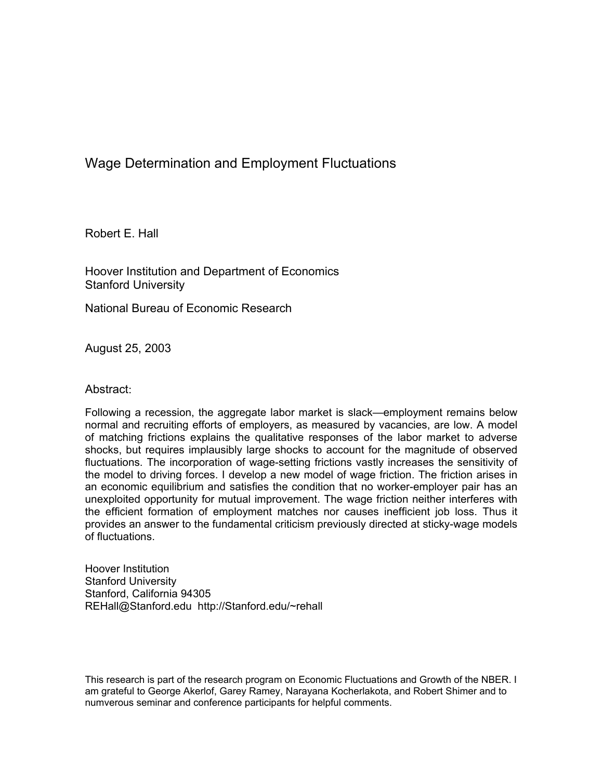# Wage Determination and Employment Fluctuations

Robert E. Hall

Hoover Institution and Department of Economics Stanford University

National Bureau of Economic Research

August 25, 2003

### Abstract:

Following a recession, the aggregate labor market is slack—employment remains below normal and recruiting efforts of employers, as measured by vacancies, are low. A model of matching frictions explains the qualitative responses of the labor market to adverse shocks, but requires implausibly large shocks to account for the magnitude of observed fluctuations. The incorporation of wage-setting frictions vastly increases the sensitivity of the model to driving forces. I develop a new model of wage friction. The friction arises in an economic equilibrium and satisfies the condition that no worker-employer pair has an unexploited opportunity for mutual improvement. The wage friction neither interferes with the efficient formation of employment matches nor causes inefficient job loss. Thus it provides an answer to the fundamental criticism previously directed at sticky-wage models of fluctuations.

Hoover Institution Stanford University Stanford, California 94305 REHall@Stanford.edu http://Stanford.edu/~rehall

This research is part of the research program on Economic Fluctuations and Growth of the NBER. I am grateful to George Akerlof, Garey Ramey, Narayana Kocherlakota, and Robert Shimer and to numverous seminar and conference participants for helpful comments.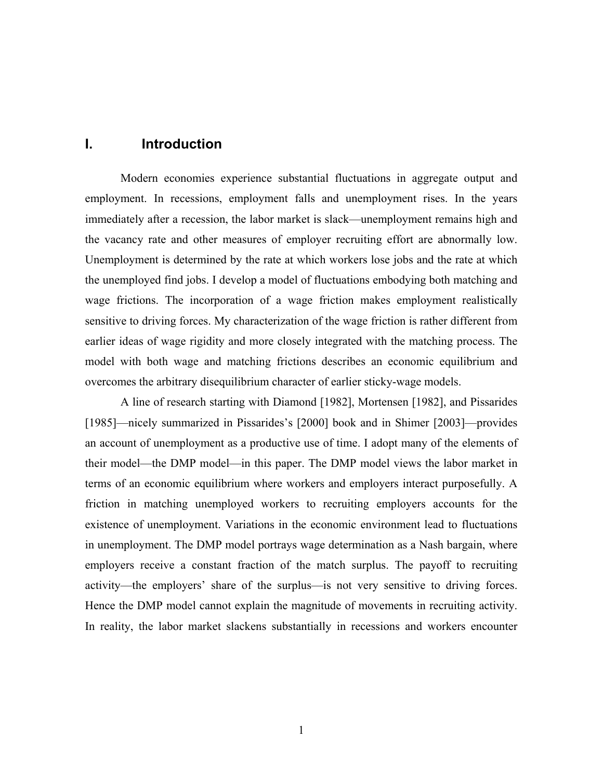## **I. Introduction**

Modern economies experience substantial fluctuations in aggregate output and employment. In recessions, employment falls and unemployment rises. In the years immediately after a recession, the labor market is slack—unemployment remains high and the vacancy rate and other measures of employer recruiting effort are abnormally low. Unemployment is determined by the rate at which workers lose jobs and the rate at which the unemployed find jobs. I develop a model of fluctuations embodying both matching and wage frictions. The incorporation of a wage friction makes employment realistically sensitive to driving forces. My characterization of the wage friction is rather different from earlier ideas of wage rigidity and more closely integrated with the matching process. The model with both wage and matching frictions describes an economic equilibrium and overcomes the arbitrary disequilibrium character of earlier sticky-wage models.

A line of research starting with Diamond [1982], Mortensen [1982], and Pissarides [1985]—nicely summarized in Pissarides's [2000] book and in Shimer [2003]—provides an account of unemployment as a productive use of time. I adopt many of the elements of their model—the DMP model—in this paper. The DMP model views the labor market in terms of an economic equilibrium where workers and employers interact purposefully. A friction in matching unemployed workers to recruiting employers accounts for the existence of unemployment. Variations in the economic environment lead to fluctuations in unemployment. The DMP model portrays wage determination as a Nash bargain, where employers receive a constant fraction of the match surplus. The payoff to recruiting activity—the employers' share of the surplus—is not very sensitive to driving forces. Hence the DMP model cannot explain the magnitude of movements in recruiting activity. In reality, the labor market slackens substantially in recessions and workers encounter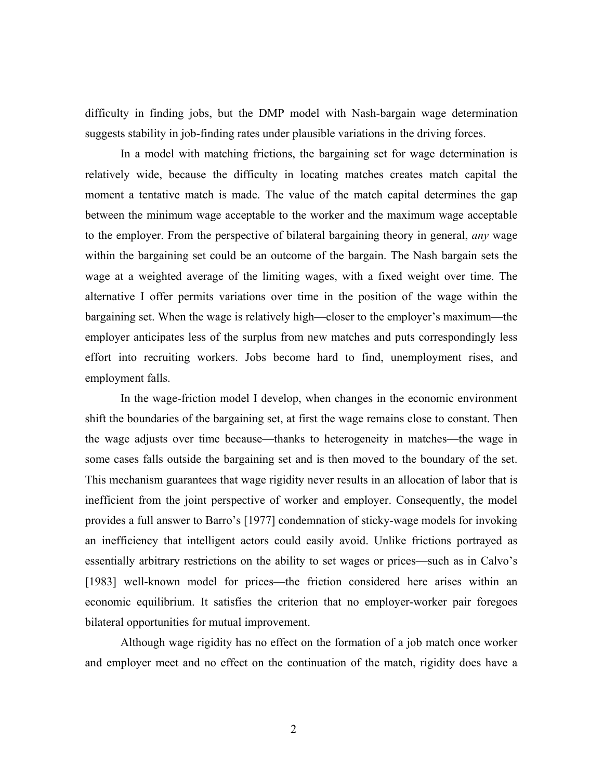difficulty in finding jobs, but the DMP model with Nash-bargain wage determination suggests stability in job-finding rates under plausible variations in the driving forces.

In a model with matching frictions, the bargaining set for wage determination is relatively wide, because the difficulty in locating matches creates match capital the moment a tentative match is made. The value of the match capital determines the gap between the minimum wage acceptable to the worker and the maximum wage acceptable to the employer. From the perspective of bilateral bargaining theory in general, *any* wage within the bargaining set could be an outcome of the bargain. The Nash bargain sets the wage at a weighted average of the limiting wages, with a fixed weight over time. The alternative I offer permits variations over time in the position of the wage within the bargaining set. When the wage is relatively high—closer to the employer's maximum—the employer anticipates less of the surplus from new matches and puts correspondingly less effort into recruiting workers. Jobs become hard to find, unemployment rises, and employment falls.

In the wage-friction model I develop, when changes in the economic environment shift the boundaries of the bargaining set, at first the wage remains close to constant. Then the wage adjusts over time because—thanks to heterogeneity in matches—the wage in some cases falls outside the bargaining set and is then moved to the boundary of the set. This mechanism guarantees that wage rigidity never results in an allocation of labor that is inefficient from the joint perspective of worker and employer. Consequently, the model provides a full answer to Barro's [1977] condemnation of sticky-wage models for invoking an inefficiency that intelligent actors could easily avoid. Unlike frictions portrayed as essentially arbitrary restrictions on the ability to set wages or prices—such as in Calvo's [1983] well-known model for prices—the friction considered here arises within an economic equilibrium. It satisfies the criterion that no employer-worker pair foregoes bilateral opportunities for mutual improvement.

Although wage rigidity has no effect on the formation of a job match once worker and employer meet and no effect on the continuation of the match, rigidity does have a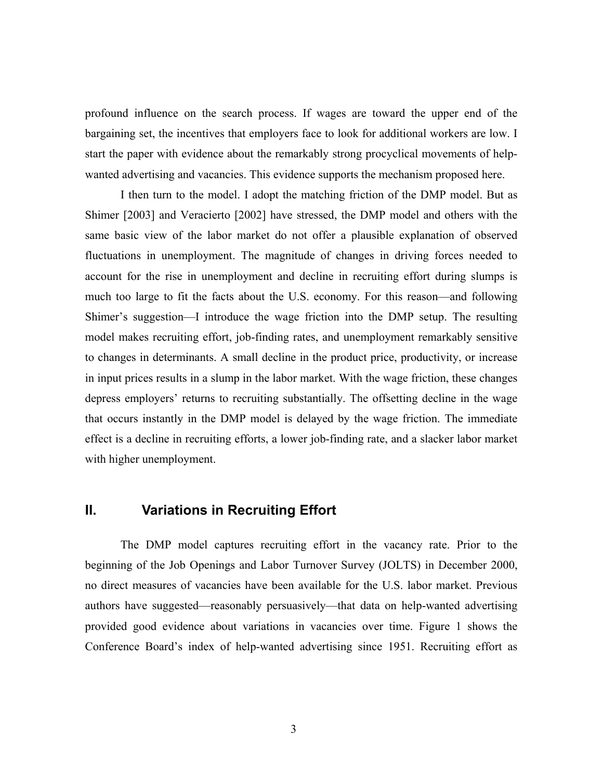profound influence on the search process. If wages are toward the upper end of the bargaining set, the incentives that employers face to look for additional workers are low. I start the paper with evidence about the remarkably strong procyclical movements of helpwanted advertising and vacancies. This evidence supports the mechanism proposed here.

I then turn to the model. I adopt the matching friction of the DMP model. But as Shimer [2003] and Veracierto [2002] have stressed, the DMP model and others with the same basic view of the labor market do not offer a plausible explanation of observed fluctuations in unemployment. The magnitude of changes in driving forces needed to account for the rise in unemployment and decline in recruiting effort during slumps is much too large to fit the facts about the U.S. economy. For this reason—and following Shimer's suggestion—I introduce the wage friction into the DMP setup. The resulting model makes recruiting effort, job-finding rates, and unemployment remarkably sensitive to changes in determinants. A small decline in the product price, productivity, or increase in input prices results in a slump in the labor market. With the wage friction, these changes depress employers' returns to recruiting substantially. The offsetting decline in the wage that occurs instantly in the DMP model is delayed by the wage friction. The immediate effect is a decline in recruiting efforts, a lower job-finding rate, and a slacker labor market with higher unemployment.

# **II. Variations in Recruiting Effort**

The DMP model captures recruiting effort in the vacancy rate. Prior to the beginning of the Job Openings and Labor Turnover Survey (JOLTS) in December 2000, no direct measures of vacancies have been available for the U.S. labor market. Previous authors have suggested—reasonably persuasively—that data on help-wanted advertising provided good evidence about variations in vacancies over time. Figure 1 shows the Conference Board's index of help-wanted advertising since 1951. Recruiting effort as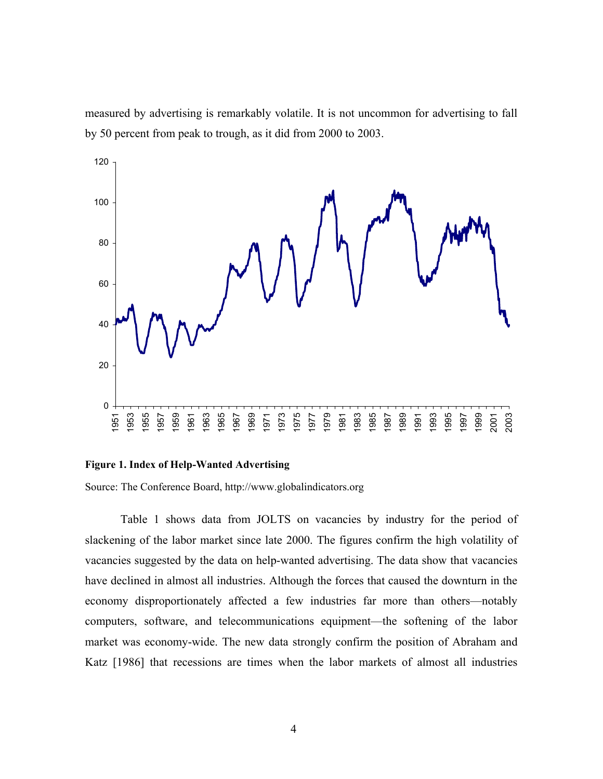measured by advertising is remarkably volatile. It is not uncommon for advertising to fall by 50 percent from peak to trough, as it did from 2000 to 2003.



#### **Figure 1. Index of Help-Wanted Advertising**

Source: The Conference Board, http://www.globalindicators.org

Table 1 shows data from JOLTS on vacancies by industry for the period of slackening of the labor market since late 2000. The figures confirm the high volatility of vacancies suggested by the data on help-wanted advertising. The data show that vacancies have declined in almost all industries. Although the forces that caused the downturn in the economy disproportionately affected a few industries far more than others—notably computers, software, and telecommunications equipment—the softening of the labor market was economy-wide. The new data strongly confirm the position of Abraham and Katz [1986] that recessions are times when the labor markets of almost all industries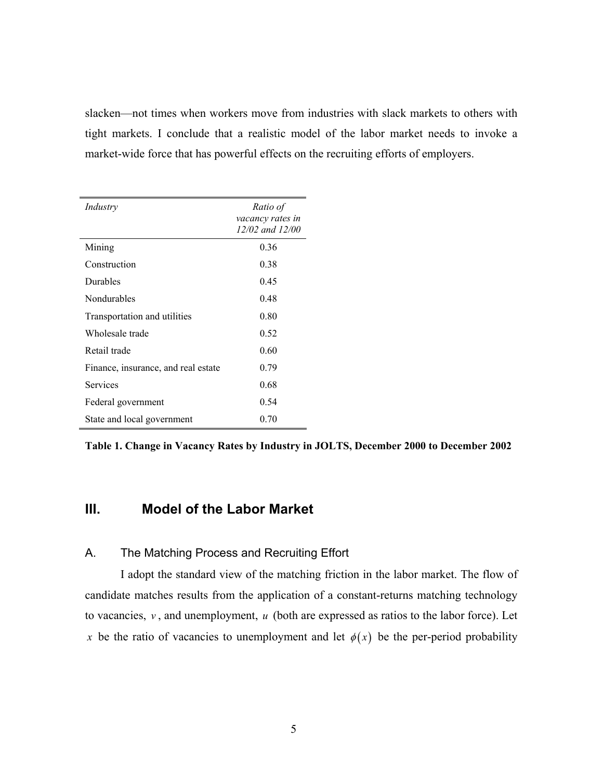slacken—not times when workers move from industries with slack markets to others with tight markets. I conclude that a realistic model of the labor market needs to invoke a market-wide force that has powerful effects on the recruiting efforts of employers.

| Industry                            | Ratio of<br>vacancy rates in |
|-------------------------------------|------------------------------|
|                                     | 12/02 and 12/00              |
| Mining                              | 0.36                         |
| Construction                        | 0.38                         |
| Durables                            | 0.45                         |
| Nondurables                         | 0.48                         |
| Transportation and utilities        | 0.80                         |
| Wholesale trade                     | 0.52                         |
| Retail trade                        | 0.60                         |
| Finance, insurance, and real estate | 0.79                         |
| Services                            | 0.68                         |
| Federal government                  | 0.54                         |
| State and local government          | 0.70                         |

**Table 1. Change in Vacancy Rates by Industry in JOLTS, December 2000 to December 2002** 

## **III. Model of the Labor Market**

### A. The Matching Process and Recruiting Effort

I adopt the standard view of the matching friction in the labor market. The flow of candidate matches results from the application of a constant-returns matching technology to vacancies, *v* , and unemployment, *u* (both are expressed as ratios to the labor force). Let *x* be the ratio of vacancies to unemployment and let  $\phi(x)$  be the per-period probability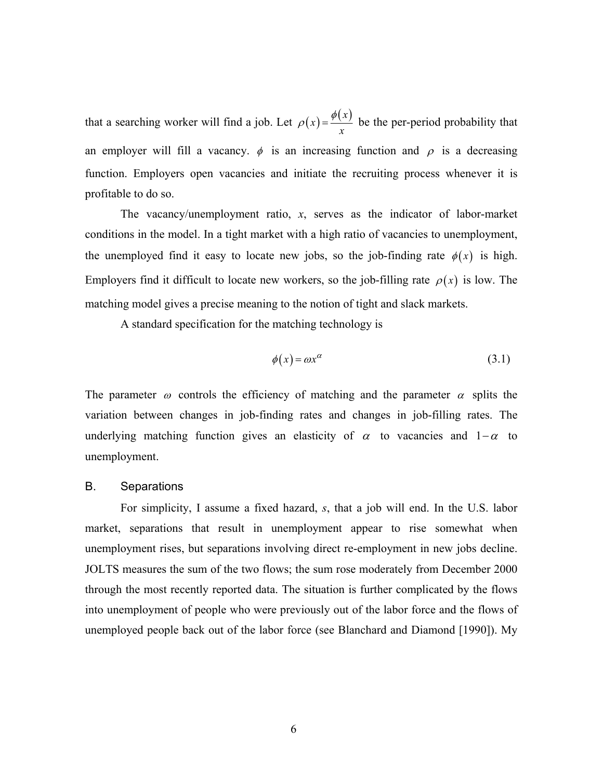that a searching worker will find a job. Let  $\rho(x) = \frac{\phi(x)}{x}$ *x*  $\rho(x) = \frac{\phi(x)}{x}$  be the per-period probability that an employer will fill a vacancy.  $\phi$  is an increasing function and  $\rho$  is a decreasing function. Employers open vacancies and initiate the recruiting process whenever it is profitable to do so.

The vacancy/unemployment ratio, *x*, serves as the indicator of labor-market conditions in the model. In a tight market with a high ratio of vacancies to unemployment, the unemployed find it easy to locate new jobs, so the job-finding rate  $\phi(x)$  is high. Employers find it difficult to locate new workers, so the job-filling rate  $\rho(x)$  is low. The matching model gives a precise meaning to the notion of tight and slack markets.

A standard specification for the matching technology is

$$
\phi(x) = \omega x^{\alpha} \tag{3.1}
$$

The parameter  $\omega$  controls the efficiency of matching and the parameter  $\alpha$  splits the variation between changes in job-finding rates and changes in job-filling rates. The underlying matching function gives an elasticity of  $\alpha$  to vacancies and 1– $\alpha$  to unemployment.

### B. Separations

For simplicity, I assume a fixed hazard, *s*, that a job will end. In the U.S. labor market, separations that result in unemployment appear to rise somewhat when unemployment rises, but separations involving direct re-employment in new jobs decline. JOLTS measures the sum of the two flows; the sum rose moderately from December 2000 through the most recently reported data. The situation is further complicated by the flows into unemployment of people who were previously out of the labor force and the flows of unemployed people back out of the labor force (see Blanchard and Diamond [1990]). My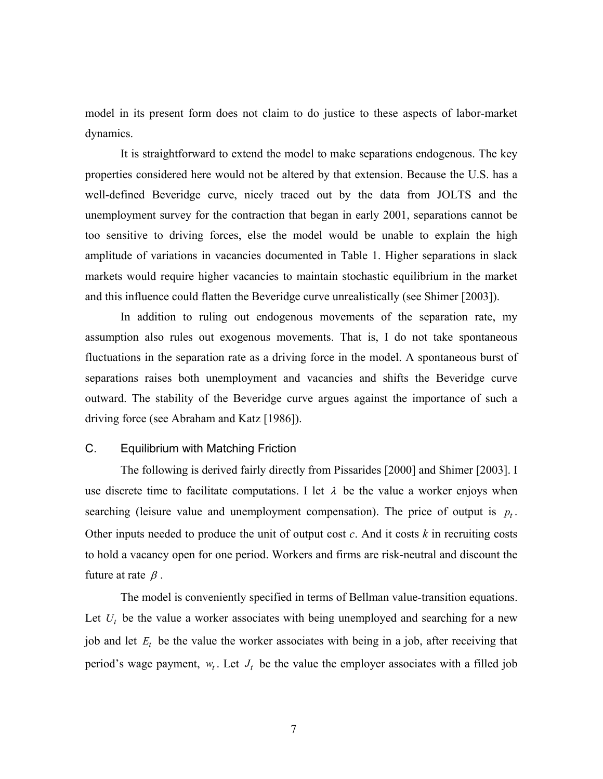model in its present form does not claim to do justice to these aspects of labor-market dynamics.

It is straightforward to extend the model to make separations endogenous. The key properties considered here would not be altered by that extension. Because the U.S. has a well-defined Beveridge curve, nicely traced out by the data from JOLTS and the unemployment survey for the contraction that began in early 2001, separations cannot be too sensitive to driving forces, else the model would be unable to explain the high amplitude of variations in vacancies documented in Table 1. Higher separations in slack markets would require higher vacancies to maintain stochastic equilibrium in the market and this influence could flatten the Beveridge curve unrealistically (see Shimer [2003]).

In addition to ruling out endogenous movements of the separation rate, my assumption also rules out exogenous movements. That is, I do not take spontaneous fluctuations in the separation rate as a driving force in the model. A spontaneous burst of separations raises both unemployment and vacancies and shifts the Beveridge curve outward. The stability of the Beveridge curve argues against the importance of such a driving force (see Abraham and Katz [1986]).

### C. Equilibrium with Matching Friction

The following is derived fairly directly from Pissarides [2000] and Shimer [2003]. I use discrete time to facilitate computations. I let  $\lambda$  be the value a worker enjoys when searching (leisure value and unemployment compensation). The price of output is  $p_t$ . Other inputs needed to produce the unit of output cost *c*. And it costs *k* in recruiting costs to hold a vacancy open for one period. Workers and firms are risk-neutral and discount the future at rate  $\beta$ .

The model is conveniently specified in terms of Bellman value-transition equations. Let  $U_t$  be the value a worker associates with being unemployed and searching for a new job and let  $E_t$  be the value the worker associates with being in a job, after receiving that period's wage payment,  $w_t$ . Let  $J_t$  be the value the employer associates with a filled job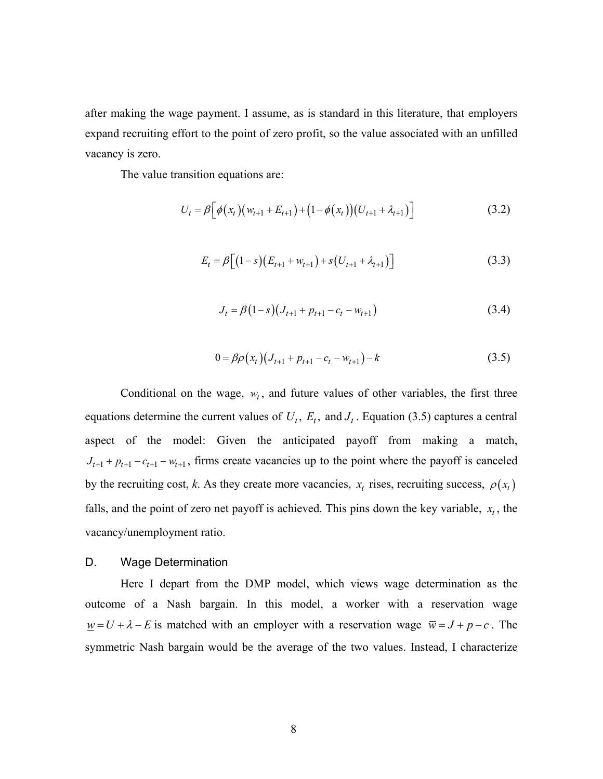after making the wage payment. I assume, as is standard in this literature, that employers expand recruiting effort to the point of zero profit, so the value associated with an unfilled vacancy is zero.

The value transition equations are:

$$
U_t = \beta \Big[ \phi(x_t) \big( w_{t+1} + E_{t+1} \big) + \big( 1 - \phi(x_t) \big) \big( U_{t+1} + \lambda_{t+1} \big) \Big] \tag{3.2}
$$

$$
E_t = \beta \big[ \big( 1 - s \big) \big( E_{t+1} + w_{t+1} \big) + s \big( U_{t+1} + \lambda_{t+1} \big) \big] \tag{3.3}
$$

$$
J_t = \beta (1 - s) (J_{t+1} + p_{t+1} - c_t - w_{t+1})
$$
\n(3.4)

$$
0 = \beta \rho(x_t) (J_{t+1} + p_{t+1} - c_t - w_{t+1}) - k \tag{3.5}
$$

Conditional on the wage,  $w_t$ , and future values of other variables, the first three equations determine the current values of  $U_t$ ,  $E_t$ , and  $J_t$ . Equation (3.5) captures a central aspect of the model: Given the anticipated payoff from making a match,  $J_{t+1} + p_{t+1} - c_{t+1} - w_{t+1}$ , firms create vacancies up to the point where the payoff is canceled by the recruiting cost, *k*. As they create more vacancies,  $x_t$  rises, recruiting success,  $\rho(x_t)$ falls, and the point of zero net payoff is achieved. This pins down the key variable,  $x_t$ , the vacancy/unemployment ratio.

#### D. Wage Determination

Here I depart from the DMP model, which views wage determination as the outcome of a Nash bargain. In this model, a worker with a reservation wage  $\underline{w} = U + \lambda - E$  is matched with an employer with a reservation wage  $\overline{w} = J + p - c$ . The symmetric Nash bargain would be the average of the two values. Instead, I characterize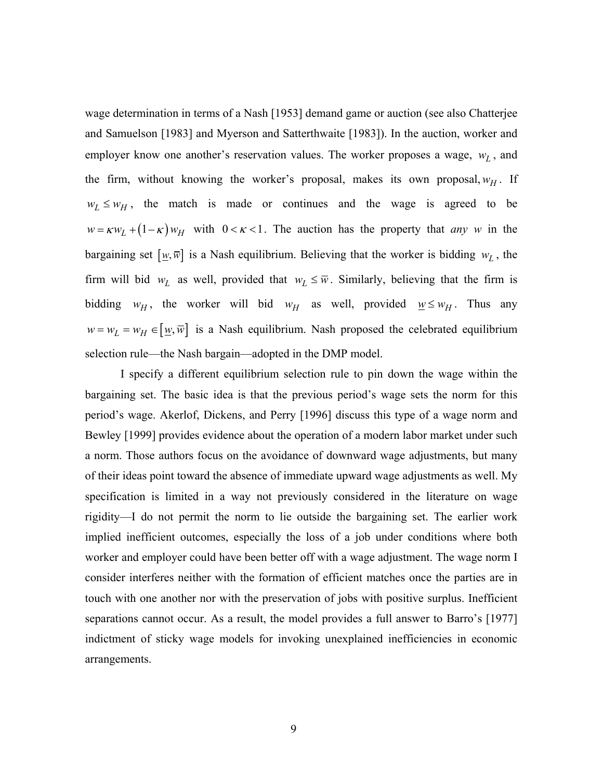wage determination in terms of a Nash [1953] demand game or auction (see also Chatterjee and Samuelson [1983] and Myerson and Satterthwaite [1983]). In the auction, worker and employer know one another's reservation values. The worker proposes a wage,  $w_L$ , and the firm, without knowing the worker's proposal, makes its own proposal,  $w_H$ . If  $w_L \leq w_H$ , the match is made or continues and the wage is agreed to be  $w = \kappa w_L + (1 - \kappa) w_H$  with  $0 < \kappa < 1$ . The auction has the property that *any w* in the bargaining set  $[\underline{w}, \overline{w}]$  is a Nash equilibrium. Believing that the worker is bidding  $w_L$ , the firm will bid  $w_L$  as well, provided that  $w_L \leq \overline{w}$ . Similarly, believing that the firm is bidding  $w_H$ , the worker will bid  $w_H$  as well, provided  $w \leq w_H$ . Thus any  $w = w_L = w_H \in [\underline{w}, \overline{w}]$  is a Nash equilibrium. Nash proposed the celebrated equilibrium selection rule—the Nash bargain—adopted in the DMP model.

I specify a different equilibrium selection rule to pin down the wage within the bargaining set. The basic idea is that the previous period's wage sets the norm for this period's wage. Akerlof, Dickens, and Perry [1996] discuss this type of a wage norm and Bewley [1999] provides evidence about the operation of a modern labor market under such a norm. Those authors focus on the avoidance of downward wage adjustments, but many of their ideas point toward the absence of immediate upward wage adjustments as well. My specification is limited in a way not previously considered in the literature on wage rigidity—I do not permit the norm to lie outside the bargaining set. The earlier work implied inefficient outcomes, especially the loss of a job under conditions where both worker and employer could have been better off with a wage adjustment. The wage norm I consider interferes neither with the formation of efficient matches once the parties are in touch with one another nor with the preservation of jobs with positive surplus. Inefficient separations cannot occur. As a result, the model provides a full answer to Barro's [1977] indictment of sticky wage models for invoking unexplained inefficiencies in economic arrangements.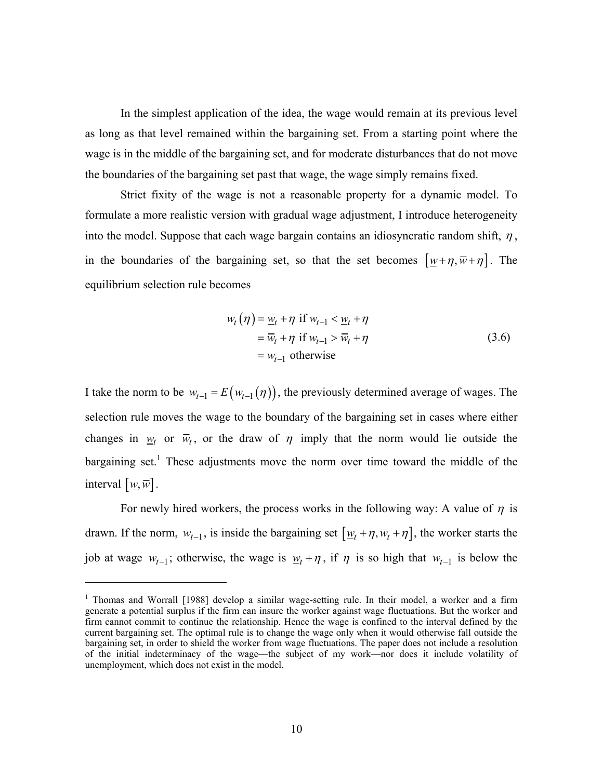In the simplest application of the idea, the wage would remain at its previous level as long as that level remained within the bargaining set. From a starting point where the wage is in the middle of the bargaining set, and for moderate disturbances that do not move the boundaries of the bargaining set past that wage, the wage simply remains fixed.

Strict fixity of the wage is not a reasonable property for a dynamic model. To formulate a more realistic version with gradual wage adjustment, I introduce heterogeneity into the model. Suppose that each wage bargain contains an idiosyncratic random shift,  $\eta$ , in the boundaries of the bargaining set, so that the set becomes  $[\underline{w} + \eta, \overline{w} + \eta]$ . The equilibrium selection rule becomes

$$
w_t(\eta) = \underline{w}_t + \eta \text{ if } w_{t-1} < \underline{w}_t + \eta
$$
  
=  $\overline{w}_t + \eta \text{ if } w_{t-1} > \overline{w}_t + \eta$   
=  $w_{t-1}$  otherwise (3.6)

I take the norm to be  $w_{t-1} = E(w_{t-1}(\eta))$ , the previously determined average of wages. The selection rule moves the wage to the boundary of the bargaining set in cases where either changes in  $w_t$  or  $\overline{w}_t$ , or the draw of  $\eta$  imply that the norm would lie outside the bargaining set.<sup>1</sup> These adjustments move the norm over time toward the middle of the interval  $[\underline{w}, \overline{w}]$ .

For newly hired workers, the process works in the following way: A value of  $\eta$  is drawn. If the norm,  $w_{t-1}$ , is inside the bargaining set  $[\underline{w}_t + \eta, \overline{w}_t + \eta]$ , the worker starts the job at wage  $w_{t-1}$ ; otherwise, the wage is  $w_t + \eta$ , if  $\eta$  is so high that  $w_{t-1}$  is below the

 $\overline{a}$ 

<sup>&</sup>lt;sup>1</sup> Thomas and Worrall [1988] develop a similar wage-setting rule. In their model, a worker and a firm generate a potential surplus if the firm can insure the worker against wage fluctuations. But the worker and firm cannot commit to continue the relationship. Hence the wage is confined to the interval defined by the current bargaining set. The optimal rule is to change the wage only when it would otherwise fall outside the bargaining set, in order to shield the worker from wage fluctuations. The paper does not include a resolution of the initial indeterminacy of the wage—the subject of my work—nor does it include volatility of unemployment, which does not exist in the model.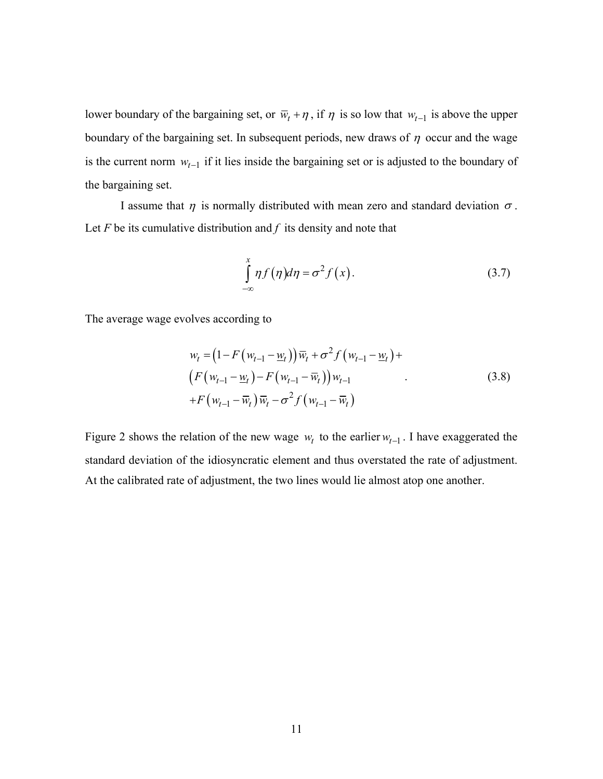lower boundary of the bargaining set, or  $\overline{w}_t + \eta$ , if  $\eta$  is so low that  $w_{t-1}$  is above the upper boundary of the bargaining set. In subsequent periods, new draws of  $\eta$  occur and the wage is the current norm  $w_{t-1}$  if it lies inside the bargaining set or is adjusted to the boundary of the bargaining set.

I assume that  $\eta$  is normally distributed with mean zero and standard deviation  $\sigma$ . Let  $F$  be its cumulative distribution and  $f$  its density and note that

$$
\int_{-\infty}^{x} \eta f(\eta) d\eta = \sigma^2 f(x). \tag{3.7}
$$

The average wage evolves according to

$$
w_{t} = (1 - F(w_{t-1} - \underline{w}_{t})) \overline{w}_{t} + \sigma^{2} f(w_{t-1} - \underline{w}_{t}) +
$$
  
\n
$$
(F(w_{t-1} - \underline{w}_{t}) - F(w_{t-1} - \overline{w}_{t})) w_{t-1}
$$
  
\n
$$
+ F(w_{t-1} - \overline{w}_{t}) \overline{w}_{t} - \sigma^{2} f(w_{t-1} - \overline{w}_{t})
$$
\n(3.8)

Figure 2 shows the relation of the new wage  $w_t$  to the earlier  $w_{t-1}$ . I have exaggerated the standard deviation of the idiosyncratic element and thus overstated the rate of adjustment. At the calibrated rate of adjustment, the two lines would lie almost atop one another.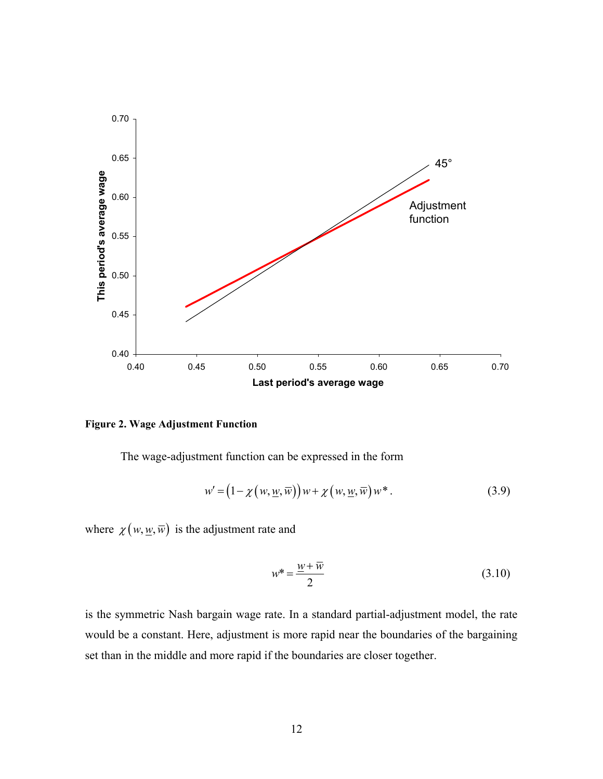

#### **Figure 2. Wage Adjustment Function**

The wage-adjustment function can be expressed in the form

$$
w' = (1 - \chi(w, \underline{w}, \overline{w}))w + \chi(w, \underline{w}, \overline{w})w^*.
$$
 (3.9)

where  $\chi(w, \underline{w}, \overline{w})$  is the adjustment rate and

$$
w^* = \frac{w + \overline{w}}{2} \tag{3.10}
$$

is the symmetric Nash bargain wage rate. In a standard partial-adjustment model, the rate would be a constant. Here, adjustment is more rapid near the boundaries of the bargaining set than in the middle and more rapid if the boundaries are closer together.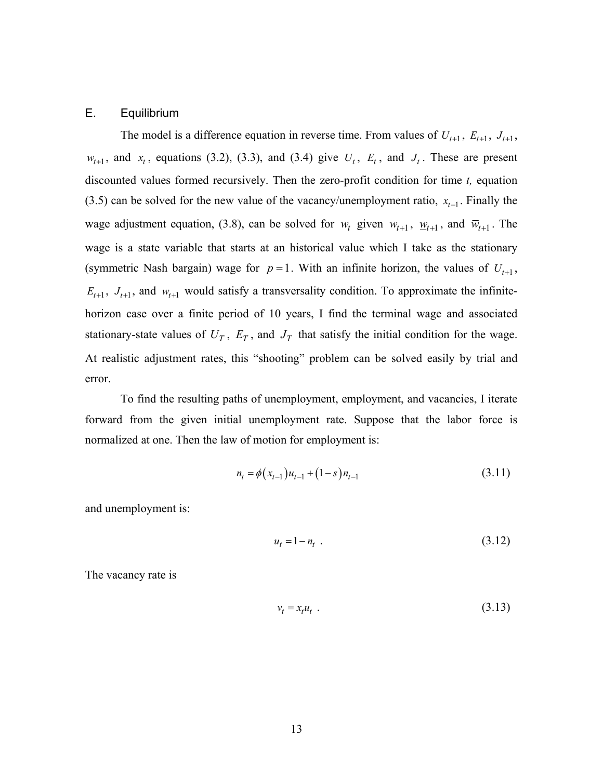### E. Equilibrium

The model is a difference equation in reverse time. From values of  $U_{t+1}$ ,  $E_{t+1}$ ,  $J_{t+1}$ ,  $w_{t+1}$ , and  $x_t$ , equations (3.2), (3.3), and (3.4) give  $U_t$ ,  $E_t$ , and  $J_t$ . These are present discounted values formed recursively. Then the zero-profit condition for time *t,* equation (3.5) can be solved for the new value of the vacancy/unemployment ratio,  $x_{t-1}$ . Finally the wage adjustment equation, (3.8), can be solved for  $w_t$  given  $w_{t+1}$ ,  $w_{t+1}$ , and  $\overline{w}_{t+1}$ . The wage is a state variable that starts at an historical value which I take as the stationary (symmetric Nash bargain) wage for  $p = 1$ . With an infinite horizon, the values of  $U_{t+1}$ ,  $E_{t+1}$ ,  $J_{t+1}$ , and  $W_{t+1}$  would satisfy a transversality condition. To approximate the infinitehorizon case over a finite period of 10 years, I find the terminal wage and associated stationary-state values of  $U_T$ ,  $E_T$ , and  $J_T$  that satisfy the initial condition for the wage. At realistic adjustment rates, this "shooting" problem can be solved easily by trial and error.

To find the resulting paths of unemployment, employment, and vacancies, I iterate forward from the given initial unemployment rate. Suppose that the labor force is normalized at one. Then the law of motion for employment is:

$$
n_{t} = \phi(x_{t-1})u_{t-1} + (1-s)n_{t-1}
$$
\n(3.11)

and unemployment is:

$$
u_t = 1 - n_t \tag{3.12}
$$

The vacancy rate is

$$
v_t = x_t u_t \tag{3.13}
$$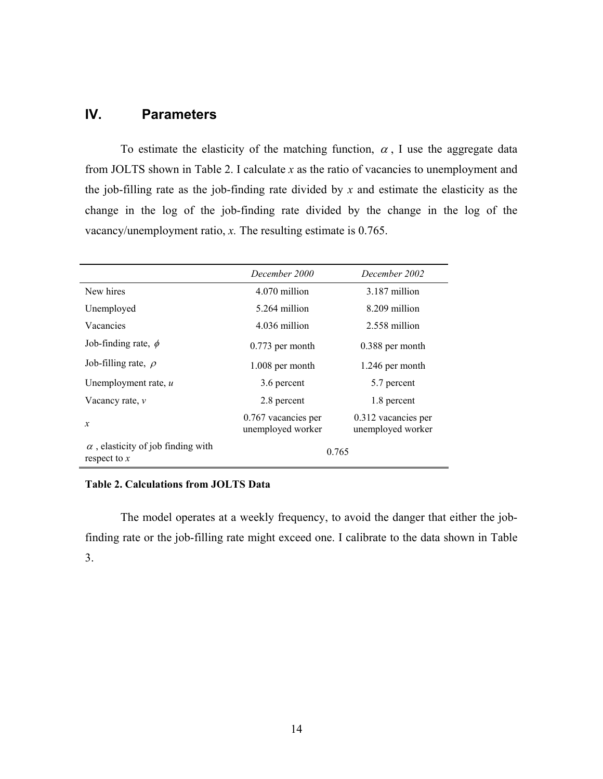# **IV. Parameters**

To estimate the elasticity of the matching function,  $\alpha$ , I use the aggregate data from JOLTS shown in Table 2. I calculate *x* as the ratio of vacancies to unemployment and the job-filling rate as the job-finding rate divided by *x* and estimate the elasticity as the change in the log of the job-finding rate divided by the change in the log of the vacancy/unemployment ratio, *x.* The resulting estimate is 0.765.

|                                                             | December 2000                            | December 2002                            |  |
|-------------------------------------------------------------|------------------------------------------|------------------------------------------|--|
| New hires                                                   | 4.070 million                            | 3.187 million                            |  |
| Unemployed                                                  | 5.264 million                            | 8.209 million                            |  |
| Vacancies                                                   | 4.036 million                            | 2.558 million                            |  |
| Job-finding rate, $\phi$                                    | $0.773$ per month                        | 0.388 per month                          |  |
| Job-filling rate, $\rho$                                    | 1.008 per month                          | 1.246 per month                          |  |
| Unemployment rate, $u$                                      | 3.6 percent                              | 5.7 percent                              |  |
| Vacancy rate, $\nu$                                         | 2.8 percent                              | 1.8 percent                              |  |
| $\boldsymbol{x}$                                            | 0.767 vacancies per<br>unemployed worker | 0.312 vacancies per<br>unemployed worker |  |
| $\alpha$ , elasticity of job finding with<br>respect to $x$ | 0.765                                    |                                          |  |

### **Table 2. Calculations from JOLTS Data**

The model operates at a weekly frequency, to avoid the danger that either the jobfinding rate or the job-filling rate might exceed one. I calibrate to the data shown in Table 3.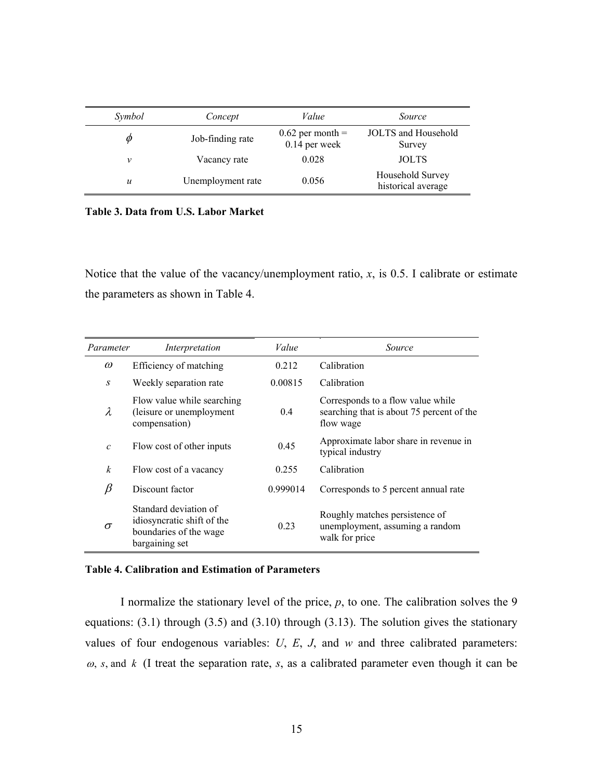| Symbol           | Concept           | Value                                 | <i>Source</i>                          |
|------------------|-------------------|---------------------------------------|----------------------------------------|
| Ø                | Job-finding rate  | $0.62$ per month =<br>$0.14$ per week | JOLTS and Household<br>Survey          |
| ν                | Vacancy rate      | 0.028                                 | <b>JOLTS</b>                           |
| $\boldsymbol{u}$ | Unemployment rate | 0.056                                 | Household Survey<br>historical average |

**Table 3. Data from U.S. Labor Market** 

Notice that the value of the vacancy/unemployment ratio,  $x$ , is 0.5. I calibrate or estimate the parameters as shown in Table 4.

| Parameter        | Interpretation                                                                                  | Value    | Source                                                                                      |
|------------------|-------------------------------------------------------------------------------------------------|----------|---------------------------------------------------------------------------------------------|
| $\omega$         | Efficiency of matching                                                                          | 0.212    | Calibration                                                                                 |
| $\boldsymbol{S}$ | Weekly separation rate                                                                          | 0.00815  | Calibration                                                                                 |
| λ                | Flow value while searching<br>(leisure or unemployment<br>compensation)                         | 0.4      | Corresponds to a flow value while<br>searching that is about 75 percent of the<br>flow wage |
| $\mathcal{C}$    | Flow cost of other inputs                                                                       | 0.45     | Approximate labor share in revenue in<br>typical industry                                   |
| $\boldsymbol{k}$ | Flow cost of a vacancy                                                                          | 0.255    | Calibration                                                                                 |
| β                | Discount factor                                                                                 | 0.999014 | Corresponds to 5 percent annual rate                                                        |
| $\sigma$         | Standard deviation of<br>idiosyncratic shift of the<br>boundaries of the wage<br>bargaining set | 0.23     | Roughly matches persistence of<br>unemployment, assuming a random<br>walk for price         |

#### **Table 4. Calibration and Estimation of Parameters**

I normalize the stationary level of the price, *p*, to one. The calibration solves the 9 equations: (3.1) through (3.5) and (3.10) through (3.13). The solution gives the stationary values of four endogenous variables: *U*, *E*, *J*, and *w* and three calibrated parameters:  $\omega$ , *s*, and *k* (I treat the separation rate, *s*, as a calibrated parameter even though it can be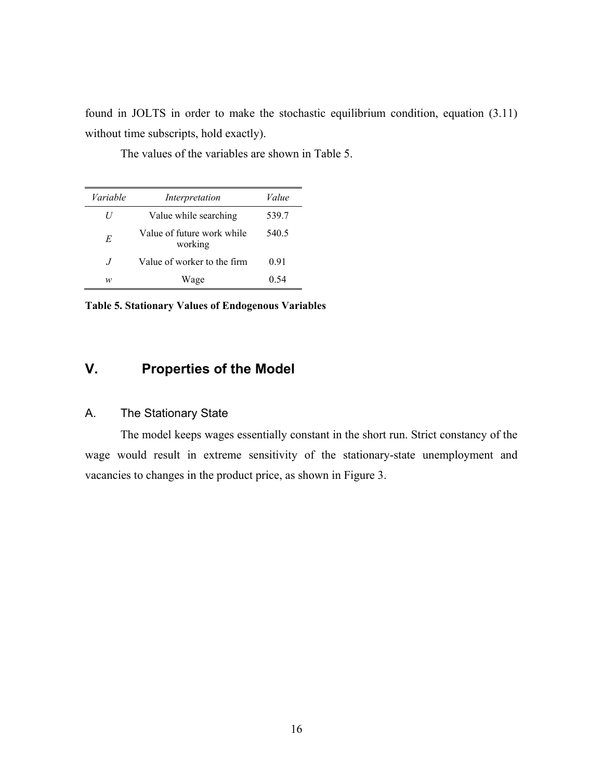found in JOLTS in order to make the stochastic equilibrium condition, equation (3.11) without time subscripts, hold exactly).

| Variable | Interpretation                        | Value |
|----------|---------------------------------------|-------|
| U        | Value while searching                 | 539.7 |
| E        | Value of future work while<br>working | 540.5 |
| $\cdot$  | Value of worker to the firm           | 0.91  |
| w        | Wage                                  | () 54 |

The values of the variables are shown in Table 5.

**Table 5. Stationary Values of Endogenous Variables** 

# **V. Properties of the Model**

### A. The Stationary State

The model keeps wages essentially constant in the short run. Strict constancy of the wage would result in extreme sensitivity of the stationary-state unemployment and vacancies to changes in the product price, as shown in Figure 3.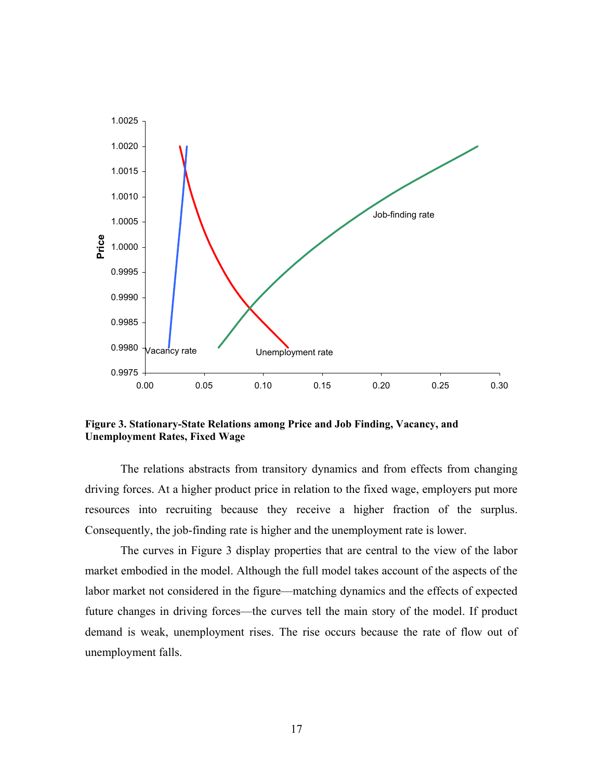

**Figure 3. Stationary-State Relations among Price and Job Finding, Vacancy, and Unemployment Rates, Fixed Wage** 

The relations abstracts from transitory dynamics and from effects from changing driving forces. At a higher product price in relation to the fixed wage, employers put more resources into recruiting because they receive a higher fraction of the surplus. Consequently, the job-finding rate is higher and the unemployment rate is lower.

The curves in Figure 3 display properties that are central to the view of the labor market embodied in the model. Although the full model takes account of the aspects of the labor market not considered in the figure—matching dynamics and the effects of expected future changes in driving forces—the curves tell the main story of the model. If product demand is weak, unemployment rises. The rise occurs because the rate of flow out of unemployment falls.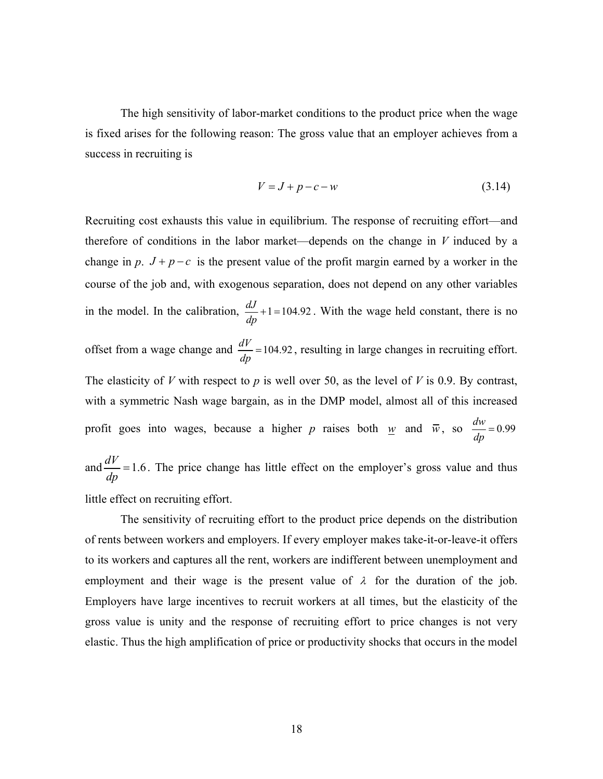The high sensitivity of labor-market conditions to the product price when the wage is fixed arises for the following reason: The gross value that an employer achieves from a success in recruiting is

$$
V = J + p - c - w \tag{3.14}
$$

Recruiting cost exhausts this value in equilibrium. The response of recruiting effort—and therefore of conditions in the labor market—depends on the change in *V* induced by a change in *p*.  $J + p - c$  is the present value of the profit margin earned by a worker in the course of the job and, with exogenous separation, does not depend on any other variables in the model. In the calibration,  $\frac{dJ}{d}$ +1=104.92 *dp*  $+1 = 104.92$ . With the wage held constant, there is no offset from a wage change and  $\frac{dV}{dp}$  = 104.92, resulting in large changes in recruiting effort. The elasticity of *V* with respect to *p* is well over 50, as the level of *V* is 0.9. By contrast, with a symmetric Nash wage bargain, as in the DMP model, almost all of this increased profit goes into wages, because a higher *p* raises both <u>*w*</u> and  $\overline{w}$ , so  $\frac{dw}{dp} = 0.99$ and  $\frac{dV}{dp}$  = 1.6. The price change has little effect on the employer's gross value and thus little effect on recruiting effort.

The sensitivity of recruiting effort to the product price depends on the distribution of rents between workers and employers. If every employer makes take-it-or-leave-it offers to its workers and captures all the rent, workers are indifferent between unemployment and employment and their wage is the present value of  $\lambda$  for the duration of the job. Employers have large incentives to recruit workers at all times, but the elasticity of the gross value is unity and the response of recruiting effort to price changes is not very elastic. Thus the high amplification of price or productivity shocks that occurs in the model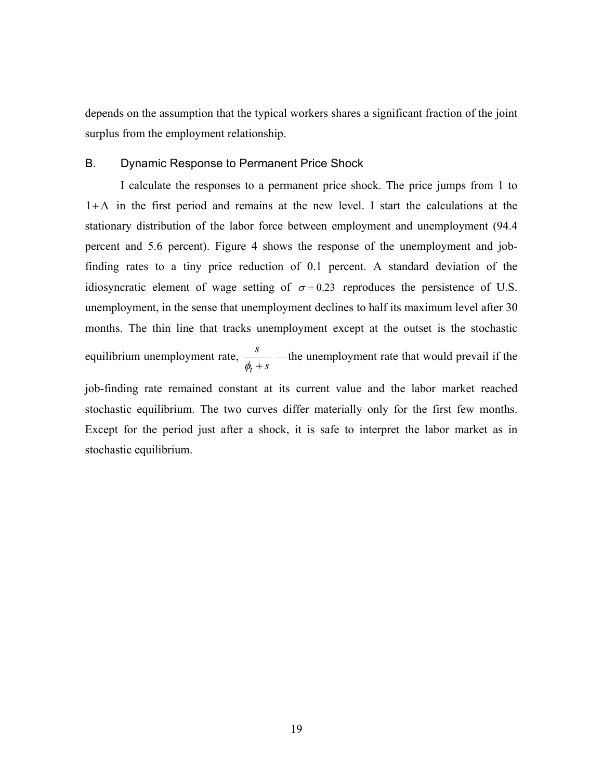depends on the assumption that the typical workers shares a significant fraction of the joint surplus from the employment relationship.

#### B. Dynamic Response to Permanent Price Shock

I calculate the responses to a permanent price shock. The price jumps from 1 to  $1+\Delta$  in the first period and remains at the new level. I start the calculations at the stationary distribution of the labor force between employment and unemployment (94.4 percent and 5.6 percent). Figure 4 shows the response of the unemployment and jobfinding rates to a tiny price reduction of 0.1 percent. A standard deviation of the idiosyncratic element of wage setting of  $\sigma = 0.23$  reproduces the persistence of U.S. unemployment, in the sense that unemployment declines to half its maximum level after 30 months. The thin line that tracks unemployment except at the outset is the stochastic equilibrium unemployment rate, *t s*  $\phi_t + s$ —the unemployment rate that would prevail if the

job-finding rate remained constant at its current value and the labor market reached stochastic equilibrium. The two curves differ materially only for the first few months. Except for the period just after a shock, it is safe to interpret the labor market as in stochastic equilibrium.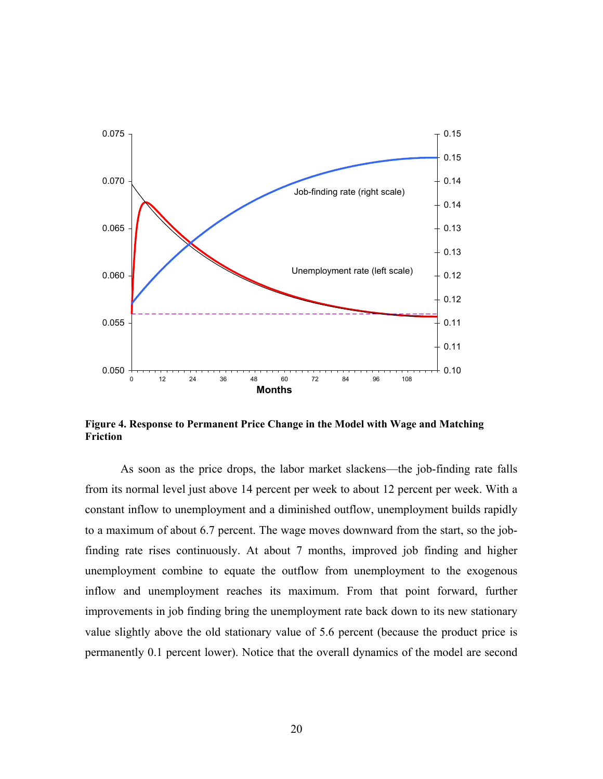

**Figure 4. Response to Permanent Price Change in the Model with Wage and Matching Friction** 

As soon as the price drops, the labor market slackens—the job-finding rate falls from its normal level just above 14 percent per week to about 12 percent per week. With a constant inflow to unemployment and a diminished outflow, unemployment builds rapidly to a maximum of about 6.7 percent. The wage moves downward from the start, so the jobfinding rate rises continuously. At about 7 months, improved job finding and higher unemployment combine to equate the outflow from unemployment to the exogenous inflow and unemployment reaches its maximum. From that point forward, further improvements in job finding bring the unemployment rate back down to its new stationary value slightly above the old stationary value of 5.6 percent (because the product price is permanently 0.1 percent lower). Notice that the overall dynamics of the model are second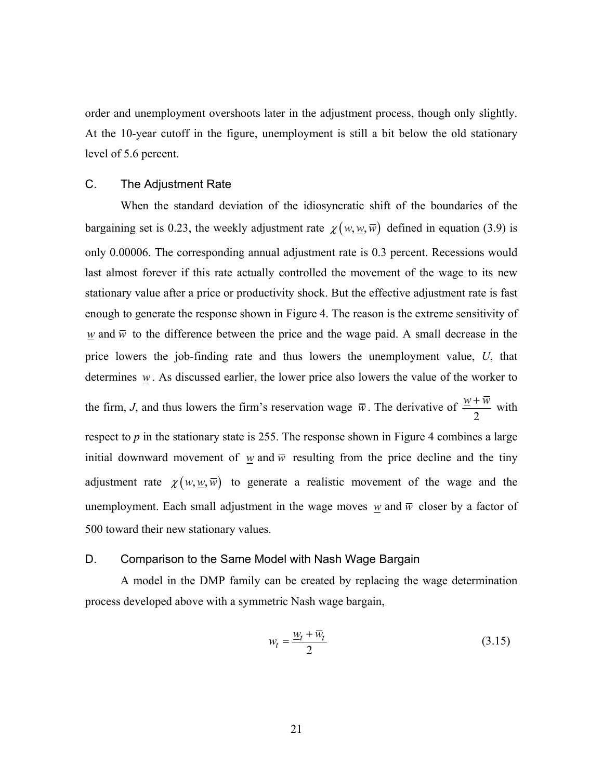order and unemployment overshoots later in the adjustment process, though only slightly. At the 10-year cutoff in the figure, unemployment is still a bit below the old stationary level of 5.6 percent.

### C. The Adjustment Rate

When the standard deviation of the idiosyncratic shift of the boundaries of the bargaining set is 0.23, the weekly adjustment rate  $\chi(w, \underline{w}, \overline{w})$  defined in equation (3.9) is only 0.00006. The corresponding annual adjustment rate is 0.3 percent. Recessions would last almost forever if this rate actually controlled the movement of the wage to its new stationary value after a price or productivity shock. But the effective adjustment rate is fast enough to generate the response shown in Figure 4. The reason is the extreme sensitivity of *w* and  $\bar{w}$  to the difference between the price and the wage paid. A small decrease in the price lowers the job-finding rate and thus lowers the unemployment value, *U*, that determines *w*. As discussed earlier, the lower price also lowers the value of the worker to the firm, *J*, and thus lowers the firm's reservation wage  $\bar{w}$ . The derivative of 2  $\frac{w + \overline{w}}{2}$  with respect to  $p$  in the stationary state is 255. The response shown in Figure 4 combines a large initial downward movement of *w* and  $\overline{w}$  resulting from the price decline and the tiny adjustment rate  $\chi(w, w, \overline{w})$  to generate a realistic movement of the wage and the

500 toward their new stationary values.

### D. Comparison to the Same Model with Nash Wage Bargain

A model in the DMP family can be created by replacing the wage determination process developed above with a symmetric Nash wage bargain,

unemployment. Each small adjustment in the wage moves *w* and  $\overline{w}$  closer by a factor of

$$
w_t = \frac{w_t + \overline{w}_t}{2} \tag{3.15}
$$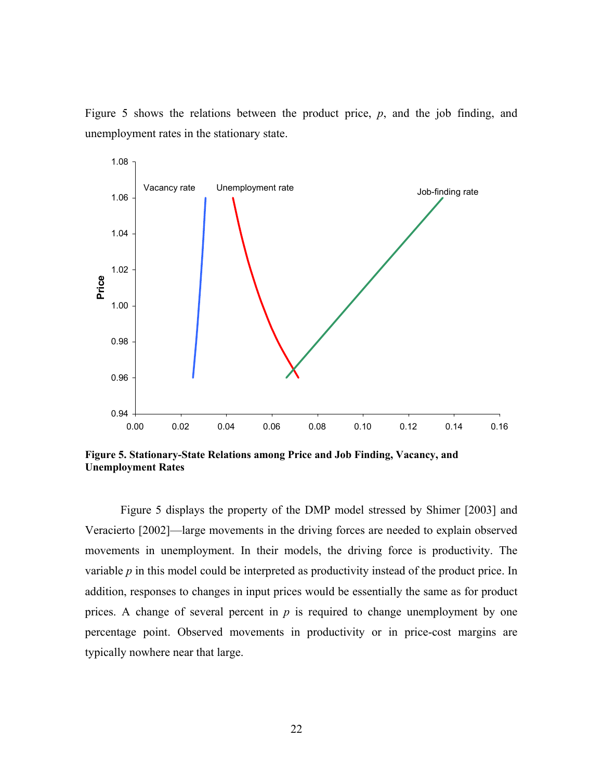

Figure 5 shows the relations between the product price, *p*, and the job finding, and unemployment rates in the stationary state.

**Figure 5. Stationary-State Relations among Price and Job Finding, Vacancy, and Unemployment Rates** 

Figure 5 displays the property of the DMP model stressed by Shimer [2003] and Veracierto [2002]—large movements in the driving forces are needed to explain observed movements in unemployment. In their models, the driving force is productivity. The variable *p* in this model could be interpreted as productivity instead of the product price. In addition, responses to changes in input prices would be essentially the same as for product prices. A change of several percent in *p* is required to change unemployment by one percentage point. Observed movements in productivity or in price-cost margins are typically nowhere near that large.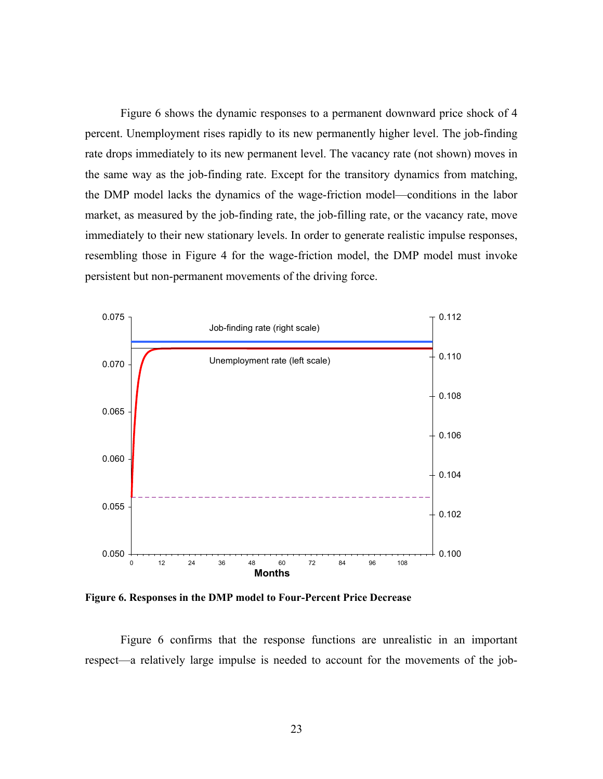Figure 6 shows the dynamic responses to a permanent downward price shock of 4 percent. Unemployment rises rapidly to its new permanently higher level. The job-finding rate drops immediately to its new permanent level. The vacancy rate (not shown) moves in the same way as the job-finding rate. Except for the transitory dynamics from matching, the DMP model lacks the dynamics of the wage-friction model—conditions in the labor market, as measured by the job-finding rate, the job-filling rate, or the vacancy rate, move immediately to their new stationary levels. In order to generate realistic impulse responses, resembling those in Figure 4 for the wage-friction model, the DMP model must invoke persistent but non-permanent movements of the driving force.



**Figure 6. Responses in the DMP model to Four-Percent Price Decrease** 

Figure 6 confirms that the response functions are unrealistic in an important respect—a relatively large impulse is needed to account for the movements of the job-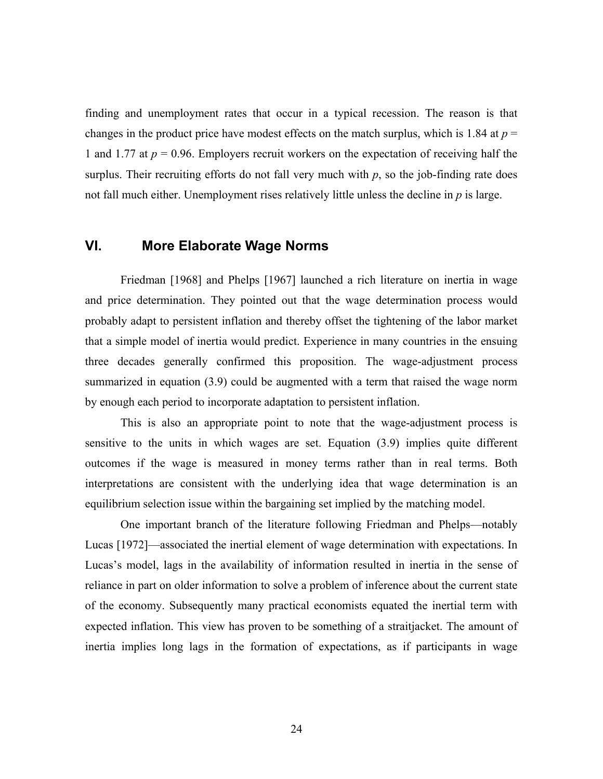finding and unemployment rates that occur in a typical recession. The reason is that changes in the product price have modest effects on the match surplus, which is 1.84 at  $p =$ 1 and 1.77 at *p* = 0.96. Employers recruit workers on the expectation of receiving half the surplus. Their recruiting efforts do not fall very much with *p*, so the job-finding rate does not fall much either. Unemployment rises relatively little unless the decline in *p* is large.

# **VI. More Elaborate Wage Norms**

Friedman [1968] and Phelps [1967] launched a rich literature on inertia in wage and price determination. They pointed out that the wage determination process would probably adapt to persistent inflation and thereby offset the tightening of the labor market that a simple model of inertia would predict. Experience in many countries in the ensuing three decades generally confirmed this proposition. The wage-adjustment process summarized in equation (3.9) could be augmented with a term that raised the wage norm by enough each period to incorporate adaptation to persistent inflation.

This is also an appropriate point to note that the wage-adjustment process is sensitive to the units in which wages are set. Equation (3.9) implies quite different outcomes if the wage is measured in money terms rather than in real terms. Both interpretations are consistent with the underlying idea that wage determination is an equilibrium selection issue within the bargaining set implied by the matching model.

One important branch of the literature following Friedman and Phelps—notably Lucas [1972]—associated the inertial element of wage determination with expectations. In Lucas's model, lags in the availability of information resulted in inertia in the sense of reliance in part on older information to solve a problem of inference about the current state of the economy. Subsequently many practical economists equated the inertial term with expected inflation. This view has proven to be something of a straitjacket. The amount of inertia implies long lags in the formation of expectations, as if participants in wage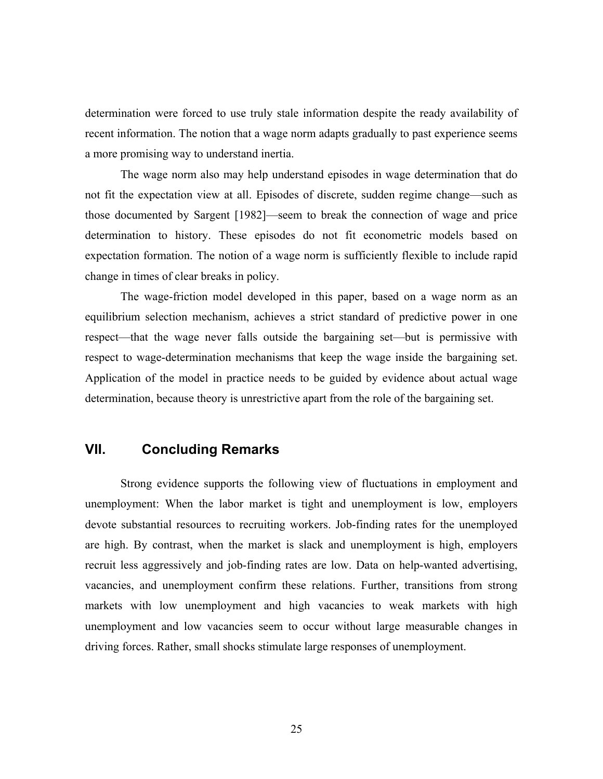determination were forced to use truly stale information despite the ready availability of recent information. The notion that a wage norm adapts gradually to past experience seems a more promising way to understand inertia.

The wage norm also may help understand episodes in wage determination that do not fit the expectation view at all. Episodes of discrete, sudden regime change—such as those documented by Sargent [1982]—seem to break the connection of wage and price determination to history. These episodes do not fit econometric models based on expectation formation. The notion of a wage norm is sufficiently flexible to include rapid change in times of clear breaks in policy.

The wage-friction model developed in this paper, based on a wage norm as an equilibrium selection mechanism, achieves a strict standard of predictive power in one respect—that the wage never falls outside the bargaining set—but is permissive with respect to wage-determination mechanisms that keep the wage inside the bargaining set. Application of the model in practice needs to be guided by evidence about actual wage determination, because theory is unrestrictive apart from the role of the bargaining set.

## **VII. Concluding Remarks**

Strong evidence supports the following view of fluctuations in employment and unemployment: When the labor market is tight and unemployment is low, employers devote substantial resources to recruiting workers. Job-finding rates for the unemployed are high. By contrast, when the market is slack and unemployment is high, employers recruit less aggressively and job-finding rates are low. Data on help-wanted advertising, vacancies, and unemployment confirm these relations. Further, transitions from strong markets with low unemployment and high vacancies to weak markets with high unemployment and low vacancies seem to occur without large measurable changes in driving forces. Rather, small shocks stimulate large responses of unemployment.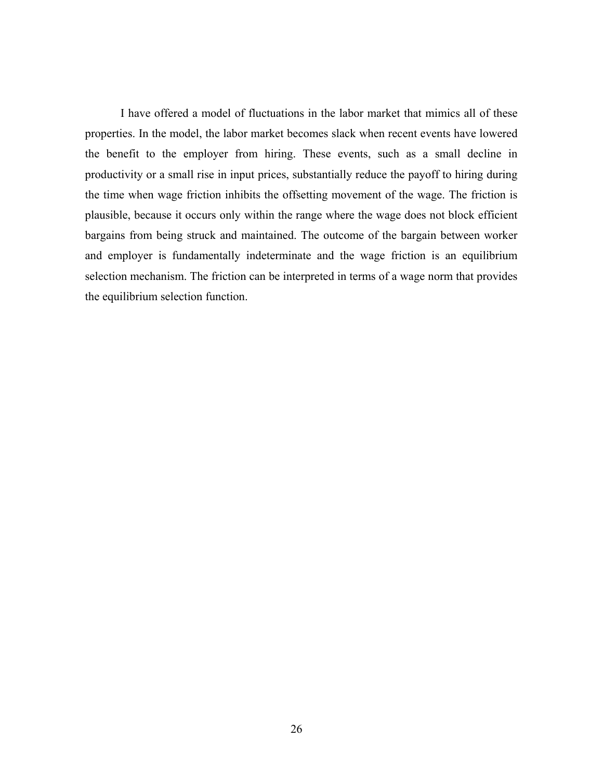I have offered a model of fluctuations in the labor market that mimics all of these properties. In the model, the labor market becomes slack when recent events have lowered the benefit to the employer from hiring. These events, such as a small decline in productivity or a small rise in input prices, substantially reduce the payoff to hiring during the time when wage friction inhibits the offsetting movement of the wage. The friction is plausible, because it occurs only within the range where the wage does not block efficient bargains from being struck and maintained. The outcome of the bargain between worker and employer is fundamentally indeterminate and the wage friction is an equilibrium selection mechanism. The friction can be interpreted in terms of a wage norm that provides the equilibrium selection function.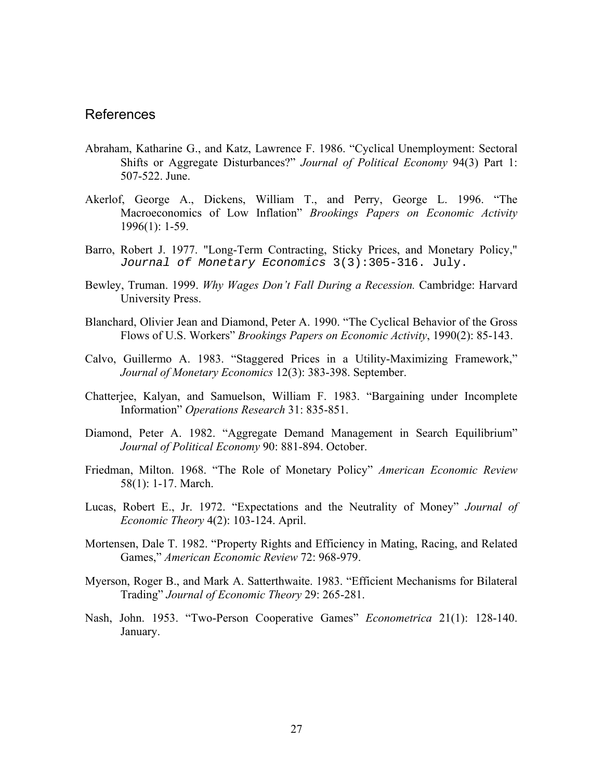### References

- Abraham, Katharine G., and Katz, Lawrence F. 1986. "Cyclical Unemployment: Sectoral Shifts or Aggregate Disturbances?" *Journal of Political Economy* 94(3) Part 1: 507-522. June.
- Akerlof, George A., Dickens, William T., and Perry, George L. 1996. "The Macroeconomics of Low Inflation" *Brookings Papers on Economic Activity*  1996(1): 1-59.
- Barro, Robert J. 1977. "Long-Term Contracting, Sticky Prices, and Monetary Policy," Journal of Monetary Economics 3(3):305-316. July.
- Bewley, Truman. 1999. *Why Wages Don't Fall During a Recession.* Cambridge: Harvard University Press.
- Blanchard, Olivier Jean and Diamond, Peter A. 1990. "The Cyclical Behavior of the Gross Flows of U.S. Workers" *Brookings Papers on Economic Activity*, 1990(2): 85-143.
- Calvo, Guillermo A. 1983. "Staggered Prices in a Utility-Maximizing Framework," *Journal of Monetary Economics* 12(3): 383-398. September.
- Chatterjee, Kalyan, and Samuelson, William F. 1983. "Bargaining under Incomplete Information" *Operations Research* 31: 835-851.
- Diamond, Peter A. 1982. "Aggregate Demand Management in Search Equilibrium" *Journal of Political Economy* 90: 881-894. October.
- Friedman, Milton. 1968. "The Role of Monetary Policy" *American Economic Review* 58(1): 1-17. March.
- Lucas, Robert E., Jr. 1972. "Expectations and the Neutrality of Money" *Journal of Economic Theory* 4(2): 103-124. April.
- Mortensen, Dale T. 1982. "Property Rights and Efficiency in Mating, Racing, and Related Games," *American Economic Review* 72: 968-979.
- Myerson, Roger B., and Mark A. Satterthwaite. 1983. "Efficient Mechanisms for Bilateral Trading" *Journal of Economic Theory* 29: 265-281.
- Nash, John. 1953. "Two-Person Cooperative Games" *Econometrica* 21(1): 128-140. January.